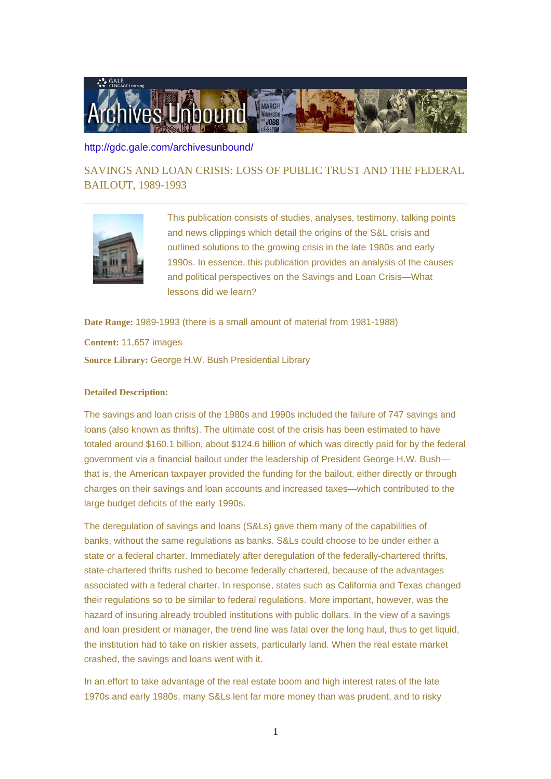

## <http://gdc.gale.com/archivesunbound/>

SAVINGS AND LOAN CRISIS: LOSS OF PUBLIC TRUST AND THE FEDERAL BAILOUT, 1989-1993



This publication consists of studies, analyses, testimony, talking points and news clippings which detail the origins of the S&L crisis and outlined solutions to the growing crisis in the late 1980s and early 1990s. In essence, this publication provides an analysis of the causes and political perspectives on the Savings and Loan Crisis—What lessons did we learn?

**Date Range:** 1989-1993 (there is a small amount of material from 1981-1988)

**Content:** 11,657 images **Source Library:** George H.W. Bush Presidential Library

## **Detailed Description:**

The savings and loan crisis of the 1980s and 1990s included the failure of 747 savings and loans (also known as thrifts). The ultimate cost of the crisis has been estimated to have totaled around \$160.1 billion, about \$124.6 billion of which was directly paid for by the federal government via a financial bailout under the leadership of President George H.W. Bush that is, the American taxpayer provided the funding for the bailout, either directly or through charges on their savings and loan accounts and increased taxes—which contributed to the large budget deficits of the early 1990s.

The deregulation of savings and loans (S&Ls) gave them many of the capabilities of banks, without the same regulations as banks. S&Ls could choose to be under either a state or a federal charter. Immediately after deregulation of the federally-chartered thrifts, state-chartered thrifts rushed to become federally chartered, because of the advantages associated with a federal charter. In response, states such as California and Texas changed their regulations so to be similar to federal regulations. More important, however, was the hazard of insuring already troubled institutions with public dollars. In the view of a savings and loan president or manager, the trend line was fatal over the long haul, thus to get liquid, the institution had to take on riskier assets, particularly land. When the real estate market crashed, the savings and loans went with it.

In an effort to take advantage of the real estate boom and high interest rates of the late 1970s and early 1980s, many S&Ls lent far more money than was prudent, and to risky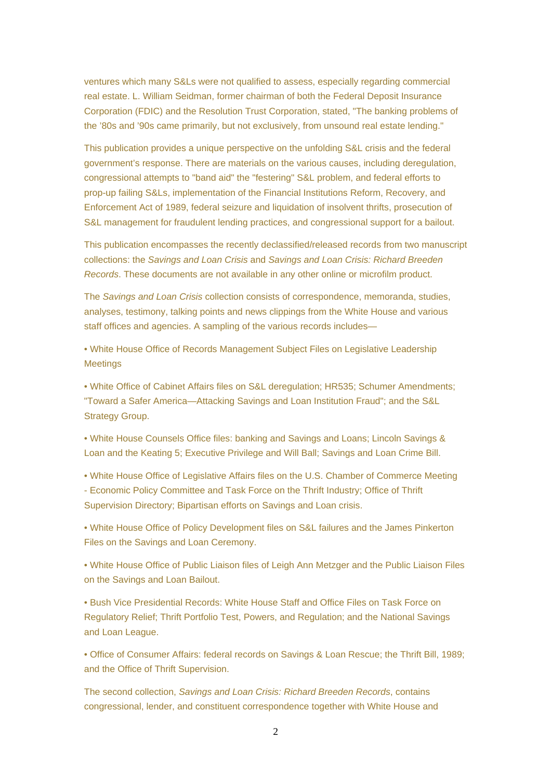ventures which many S&Ls were not qualified to assess, especially regarding commercial real estate. L. William Seidman, former chairman of both the Federal Deposit Insurance Corporation (FDIC) and the Resolution Trust Corporation, stated, "The banking problems of the '80s and '90s came primarily, but not exclusively, from unsound real estate lending."

This publication provides a unique perspective on the unfolding S&L crisis and the federal government's response. There are materials on the various causes, including deregulation, congressional attempts to "band aid" the "festering" S&L problem, and federal efforts to prop-up failing S&Ls, implementation of the Financial Institutions Reform, Recovery, and Enforcement Act of 1989, federal seizure and liquidation of insolvent thrifts, prosecution of S&L management for fraudulent lending practices, and congressional support for a bailout.

This publication encompasses the recently declassified/released records from two manuscript collections: the Savings and Loan Crisis and Savings and Loan Crisis: Richard Breeden Records. These documents are not available in any other online or microfilm product.

The Savings and Loan Crisis collection consists of correspondence, memoranda, studies, analyses, testimony, talking points and news clippings from the White House and various staff offices and agencies. A sampling of the various records includes—

• White House Office of Records Management Subject Files on Legislative Leadership **Meetings** 

• White Office of Cabinet Affairs files on S&L deregulation; HR535; Schumer Amendments; "Toward a Safer America—Attacking Savings and Loan Institution Fraud"; and the S&L Strategy Group.

• White House Counsels Office files: banking and Savings and Loans; Lincoln Savings & Loan and the Keating 5; Executive Privilege and Will Ball; Savings and Loan Crime Bill.

• White House Office of Legislative Affairs files on the U.S. Chamber of Commerce Meeting - Economic Policy Committee and Task Force on the Thrift Industry; Office of Thrift Supervision Directory; Bipartisan efforts on Savings and Loan crisis.

• White House Office of Policy Development files on S&L failures and the James Pinkerton Files on the Savings and Loan Ceremony.

• White House Office of Public Liaison files of Leigh Ann Metzger and the Public Liaison Files on the Savings and Loan Bailout.

• Bush Vice Presidential Records: White House Staff and Office Files on Task Force on Regulatory Relief; Thrift Portfolio Test, Powers, and Regulation; and the National Savings and Loan League.

• Office of Consumer Affairs: federal records on Savings & Loan Rescue; the Thrift Bill, 1989; and the Office of Thrift Supervision.

The second collection, Savings and Loan Crisis: Richard Breeden Records, contains congressional, lender, and constituent correspondence together with White House and